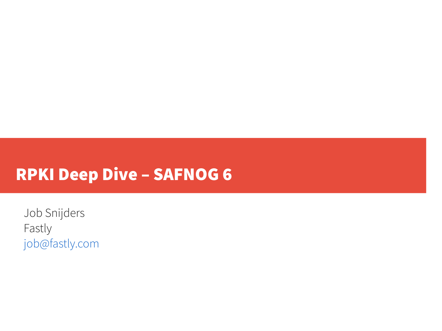#### RPKI Deep Dive – SAFNOG 6

Job Snijders Fastly [job@fastly.com](mailto:job@fastly.com)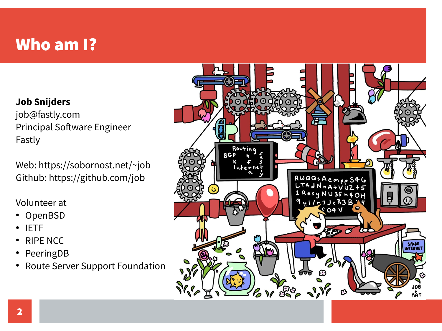## Who am I?

#### **Job Snijders**

[job@fastly.com](mailto:job@fastly.com) Principal Software Engineer [Fastly](https://fastly.com/)

Web: <https://sobornost.net/~job> Github: <https://github.com/job>

Volunteer at

- **OpenBSD**
- **IETF**
- **RIPE NCC**
- PeeringDB
- Route Server Support Foundation

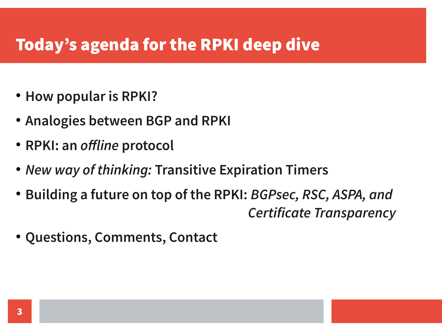#### Today's agenda for the RPKI deep dive

- **How popular is RPKI?**
- **Analogies between BGP and RPKI**
- **RPKI: an offline protocol**
- **New way of thinking: Transitive Expiration Timers**
- **Building a future on top of the RPKI: BGPsec, RSC, ASPA, and Certificate Transparency**
- **Questions, Comments, Contact**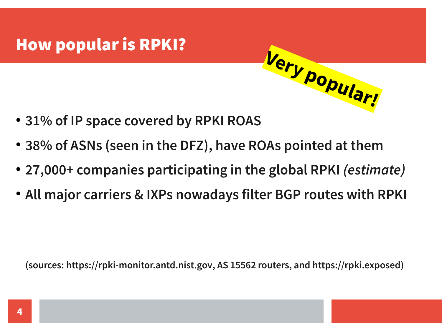## How popular is RPKI?

- **31% of IP space covered by RPKI ROAS Very popular!**
- **38% of ASNs (seen in the DFZ), have ROAs pointed at them**
- **27,000+ companies participating in the global RPKI (estimate)**
- **All major carriers & IXPs nowadays filter BGP routes with RPKI**

**(sources: [https://rpki-monitor.antd.nist.gov](https://rpki-monitor.antd.nist.gov/), AS 15562 routers, and [https://rpki.exposed](https://rpki.exposed/))**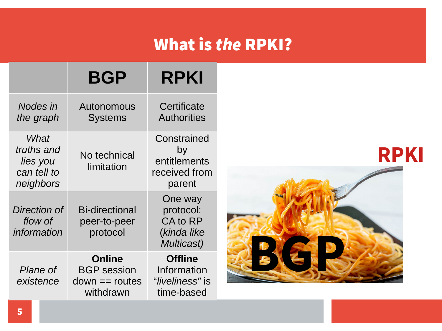## What is the RPKI?

|                                                            | <b>BGP</b>                                                           | <b>RPKI</b>                                                                  |
|------------------------------------------------------------|----------------------------------------------------------------------|------------------------------------------------------------------------------|
| Nodes in<br>the graph                                      | Autonomous<br><b>Systems</b>                                         | Certificate<br><b>Authorities</b>                                            |
| What<br>truths and<br>lies you<br>can tell to<br>neighbors | No technical<br>limitation                                           | Constrained<br>by<br>entitlements<br>received from<br>parent                 |
| Direction of<br>flow of<br>information                     | <b>Bi-directional</b><br>peer-to-peer<br>protocol                    | One way<br>protocol:<br><b>CA to RP</b><br>(kinda like<br><b>Multicast</b> ) |
| Plane of<br>existence                                      | <b>Online</b><br><b>BGP session</b><br>$down == routes$<br>withdrawn | <b>Offline</b><br>Information<br><i>"liveliness"</i> is<br>time-based        |

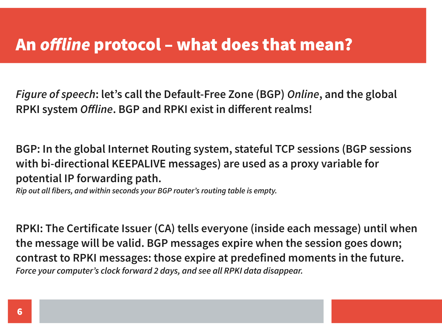#### An offline protocol – what does that mean?

**Figure of speech: let's call the Default-Free Zone (BGP) Online, and the global RPKI system Offline. BGP and RPKI exist in different realms!**

**BGP: In the global Internet Routing system, stateful TCP sessions (BGP sessions with bi-directional KEEPALIVE messages) are used as a proxy variable for potential IP forwarding path.**

**Rip out all fibers, and within seconds your BGP router's routing table is empty.** 

**RPKI: The Certificate Issuer (CA) tells everyone (inside each message) until when the message will be valid. BGP messages expire when the session goes down; contrast to RPKI messages: those expire at predefined moments in the future. Force your computer's clock forward 2 days, and see all RPKI data disappear.**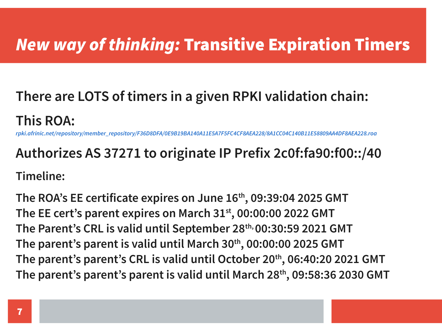## New way of thinking: Transitive Expiration Timers

#### **There are LOTS of timers in a given RPKI validation chain:**

**This ROA:** 

**[rpki.afrinic.net/repository/member\\_repository/F36D8DFA/0E9B19BA140A11E5A7F5FC4CF8AEA228/8A1CC04C140B11E58809AA4DF8AEA228.roa](https://console.rpki-client.org/rsync/rpki.afrinic.net/repository/member_repository/F36D8DFA/0E9B19BA140A11E5A7F5FC4CF8AEA228/8A1CC04C140B11E58809AA4DF8AEA228.roa.html)**

**Authorizes AS 37271 to originate IP Prefix 2c0f:fa90:f00::/40 Timeline:**

**The ROA's EE certificate expires on June 16th, 09:39:04 2025 GMT The EE cert's parent expires on March 31st, 00:00:00 2022 GMT The Parent's CRL is valid until September 28th, 00:30:59 2021 GMT The parent's parent is valid until March 30th, 00:00:00 2025 GMT The parent's parent's CRL is valid until October 20th, 06:40:20 2021 GMT The parent's parent's parent is valid until March 28th, 09:58:36 2030 GMT**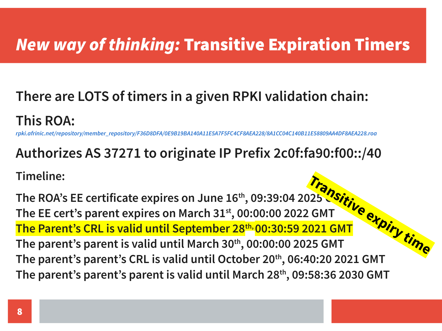## New way of thinking: Transitive Expiration Timers

#### **There are LOTS of timers in a given RPKI validation chain:**

**This ROA:** 

**[rpki.afrinic.net/repository/member\\_repository/F36D8DFA/0E9B19BA140A11E5A7F5FC4CF8AEA228/8A1CC04C140B11E58809AA4DF8AEA228.roa](https://console.rpki-client.org/rsync/rpki.afrinic.net/repository/member_repository/F36D8DFA/0E9B19BA140A11E5A7F5FC4CF8AEA228/8A1CC04C140B11E58809AA4DF8AEA228.roa.html)**

**Authorizes AS 37271 to originate IP Prefix 2c0f:fa90:f00::/40**

**Timeline:**

The ROA's EE certificate expires on June 16<sup>th</sup>, 09:39:04 2025 **The EE cert's parent expires on March 31st, 00:00:00 2022 GMT The Parent's CRL is valid until September 28th, 00:30:59 2021 GMT The parent's parent is valid until March 30th, 00:00:00 2025 GMT The parent's parent's CRL is valid until October 20th, 06:40:20 2021 GMT The parent's parent's parent is valid until March 28th, 09:58:36 2030 GMT Transitive expiry time**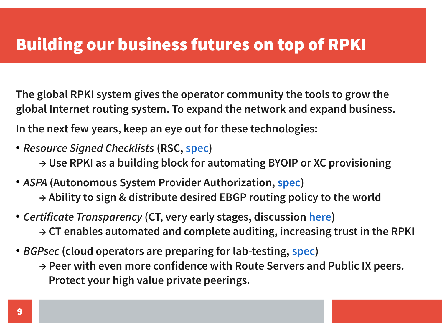## Building our business futures on top of RPKI

**The global RPKI system gives the operator community the tools to grow the global Internet routing system. To expand the network and expand business. In the next few years, keep an eye out for these technologies:**

- **Resource Signed Checklists (RSC, [spec](https://datatracker.ietf.org/doc/html/draft-ietf-sidrops-rpki-rsc)) → Use RPKI as a building block for automating BYOIP or XC provisioning**
- **ASPA (Autonomous System Provider Authorization, [spec](https://datatracker.ietf.org/doc/html/draft-ietf-sidrops-aspa-verification)) → Ability to sign & distribute desired EBGP routing policy to the world**
- **Certificate Transparency (CT, very early stages, discussion [here](https://www.ripe.net/ripe/mail/archives/routing-wg/2021-September/004397.html)) → CT enables automated and complete auditing, increasing trust in the RPKI**
- **BGPsec (cloud operators are preparing for lab-testing, [spec](https://datatracker.ietf.org/doc/html/rfc8205))**
	- **→ Peer with even more confidence with Route Servers and Public IX peers. Protect your high value private peerings.**